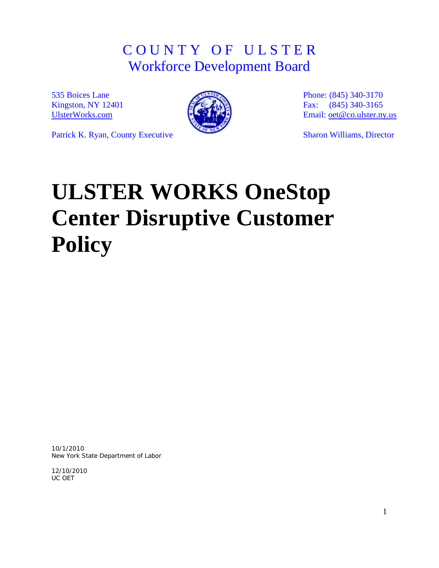# C O U N T Y O F U L S T E R Workforce Development Board

535 Boices Lane Kingston, NY 12401 [UlsterWorks.com](http://www.ulsterworks.com/)



Phone: (845) 340-3170 Fax: (845) 340-3165 Email: [oet@co.ulster.ny.us](mailto:oet@co.ulster.ny.us)

Sharon Williams, Director

Patrick K. Ryan, County Executive

# **ULSTER WORKS OneStop Center Disruptive Customer Policy**

10/1/2010 New York State Department of Labor

12/10/2010 UC OET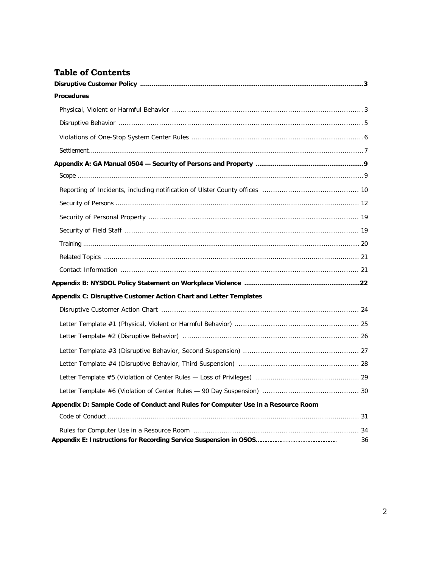# **Table of Contents**

| <b>Procedures</b>                                                                |
|----------------------------------------------------------------------------------|
|                                                                                  |
|                                                                                  |
|                                                                                  |
|                                                                                  |
|                                                                                  |
|                                                                                  |
|                                                                                  |
|                                                                                  |
|                                                                                  |
|                                                                                  |
|                                                                                  |
|                                                                                  |
|                                                                                  |
|                                                                                  |
| Appendix C: Disruptive Customer Action Chart and Letter Templates                |
|                                                                                  |
|                                                                                  |
|                                                                                  |
|                                                                                  |
|                                                                                  |
|                                                                                  |
|                                                                                  |
| Appendix D: Sample Code of Conduct and Rules for Computer Use in a Resource Room |
|                                                                                  |
| 36                                                                               |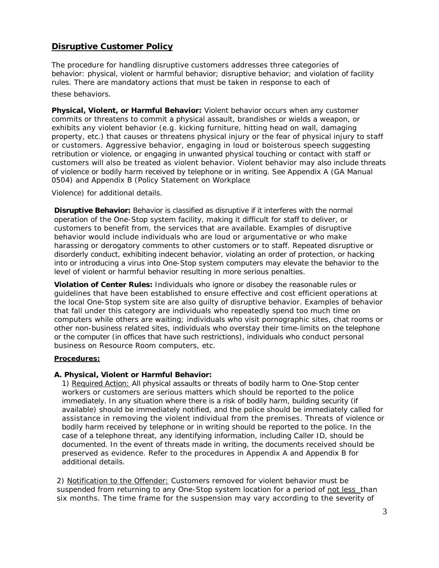# **Disruptive Customer Policy**

The procedure for handling disruptive customers addresses three categories of behavior: physical, violent or harmful behavior; disruptive behavior; and violation of facility rules. There are mandatory actions that must be taken in response to each of

these behaviors.

**Physical, Violent, or Harmful Behavior:** Violent behavior occurs when any customer commits or threatens to commit a physical assault, brandishes or wields a weapon, or exhibits any violent behavior (e.g. kicking furniture, hitting head on wall, damaging property, etc.) that causes or threatens physical injury or the fear of physical injury to staff or customers. Aggressive behavior, engaging in loud or boisterous speech suggesting retribution or violence, or engaging in unwanted physical touching or contact with staff or customers will also be treated as violent behavior. Violent behavior may also include threats of violence or bodily harm received by telephone or in writing. See Appendix A (GA Manual 0504) and Appendix B (Policy Statement on Workplace

Violence) for additional details.

**Disruptive Behavior:** Behavior is classified as disruptive if it interferes with the normal operation of the One-Stop system facility, making it difficult for staff to deliver, or customers to benefit from, the services that are available. Examples of disruptive behavior would include individuals who are loud or argumentative or who make harassing or derogatory comments to other customers or to staff. Repeated disruptive or disorderly conduct, exhibiting indecent behavior, violating an order of protection, or hacking into or introducing a virus into One-Stop system computers may elevate the behavior to the level of violent or harmful behavior resulting in more serious penalties.

**Violation of Center Rules:** Individuals who ignore or disobey the reasonable rules or guidelines that have been established to ensure effective and cost efficient operations at the local One-Stop system site are also guilty of disruptive behavior. Examples of behavior that fall under this category are individuals who repeatedly spend too much time on computers while others are waiting; individuals who visit pornographic sites, chat rooms or other non-business related sites, individuals who overstay their time-limits on the telephone or the computer (in offices that have such restrictions), individuals who conduct personal business on Resource Room computers, etc.

## **Procedures:**

## **A. Physical, Violent or Harmful Behavior:**

1) Required Action: All physical assaults or threats of bodily harm to One-Stop center workers or customers are serious matters which should be reported to the police immediately. In any situation where there is a risk of bodily harm, building security (if available) should be immediately notified, and the police should be immediately called for assistance in removing the violent individual from the premises. Threats of violence or bodily harm received by telephone or in writing should be reported to the police. In the case of a telephone threat, any identifying information, including Caller ID, should be documented. In the event of threats made in writing, the documents received should be preserved as evidence. Refer to the procedures in Appendix A and Appendix B for additional details.

2) Notification to the Offender: Customers removed for violent behavior must be suspended from returning to any One-Stop system location for a period of not less than six months. The time frame for the suspension may vary according to the severity of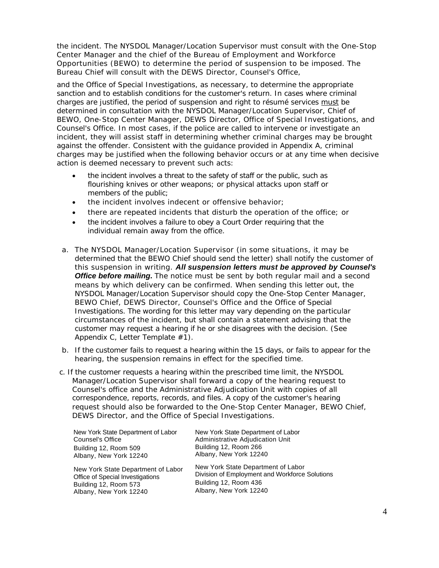the incident. The NYSDOL Manager/Location Supervisor must consult with the One-Stop Center Manager and the chief of the Bureau of Employment and Workforce Opportunities (BEWO) to determine the period of suspension to be imposed. The Bureau Chief will consult with the DEWS Director, Counsel's Office,

and the Office of Special Investigations, as necessary, to determine the appropriate sanction and to establish conditions for the customer's return. In cases where criminal charges are justified, the period of suspension and right to résumé services must be determined in consultation with the NYSDOL Manager/Location Supervisor, Chief of BEWO, One-Stop Center Manager, DEWS Director, Office of Special Investigations, and Counsel's Office. In most cases, if the police are called to intervene or investigate an incident, they will assist staff in determining whether criminal charges may be brought against the offender. Consistent with the guidance provided in Appendix A, criminal charges may be justified when the following behavior occurs or at any time when decisive action is deemed necessary to prevent such acts:

- the incident involves a threat to the safety of staff or the public, such as flourishing knives or other weapons; or physical attacks upon staff or members of the public;
- the incident involves indecent or offensive behavior;
- there are repeated incidents that disturb the operation of the office; or
- the incident involves a failure to obey a Court Order requiring that the individual remain away from the office.
- a. The NYSDOL Manager/Location Supervisor (in some situations, it may be determined that the BEWO Chief should send the letter) shall notify the customer of this suspension in writing. *All suspension letters must be approved by Counsel's Office before mailing.* The notice must be sent by both regular mail and a second means by which delivery can be confirmed. When sending this letter out, the NYSDOL Manager/Location Supervisor should copy the One-Stop Center Manager, BEWO Chief, DEWS Director, Counsel's Office and the Office of Special Investigations. The wording for this letter may vary depending on the particular circumstances of the incident, but shall contain a statement advising that the customer may request a hearing if he or she disagrees with the decision. (See Appendix C, Letter Template #1).
- b. If the customer fails to request a hearing within the 15 days, or fails to appear for the hearing, the suspension remains in effect for the specified time.
- c. If the customer requests a hearing within the prescribed time limit, the NYSDOL Manager/Location Supervisor shall forward a copy of the hearing request to Counsel's office and the Administrative Adjudication Unit with copies of all correspondence, reports, records, and files. A copy of the customer's hearing request should also be forwarded to the One-Stop Center Manager, BEWO Chief, DEWS Director, and the Office of Special Investigations.

| New York State Department of Labor | New York State Department of Labor             |
|------------------------------------|------------------------------------------------|
| Counsel's Office                   | Administrative Adjudication Unit               |
| Building 12, Room 509              | Building 12, Room 266                          |
| Albany, New York 12240             | Albany, New York 12240                         |
| New York State Department of Labor | New York State Department of Labor             |
| Office of Special Investigations   | Division of Employment and Workforce Solutions |
| Building 12, Room 573              | Building 12, Room 436                          |
| Albany, New York 12240             | Albany, New York 12240                         |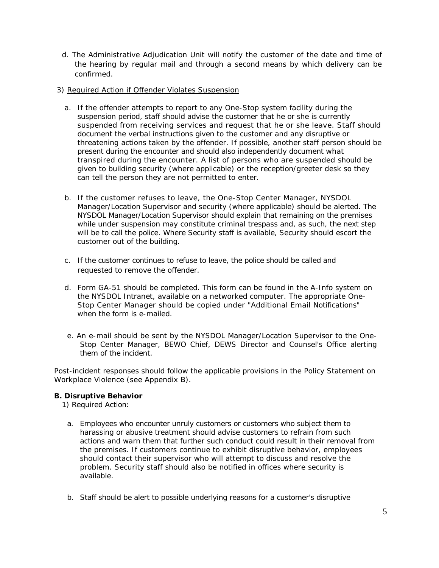- d. The Administrative Adjudication Unit will notify the customer of the date and time of the hearing by regular mail and through a second means by which delivery can be confirmed.
- 3) Required Action if Offender Violates Suspension
	- a. If the offender attempts to report to any One-Stop system facility during the suspension period, staff should advise the customer that he or she is currently suspended from receiving services and request that he or she leave. Staff should document the verbal instructions given to the customer and any disruptive or threatening actions taken by the offender. If possible, another staff person should be present during the encounter and should also independently document what transpired during the encounter. A list of persons who are suspended should be given to building security (where applicable) or the reception/greeter desk so they can tell the person they are not permitted to enter.
	- b. If the customer refuses to leave, the One-Stop Center Manager, NYSDOL Manager/Location Supervisor and security (where applicable) should be alerted. The NYSDOL Manager/Location Supervisor should explain that remaining on the premises while under suspension may constitute criminal trespass and, as such, the next step will be to call the police. Where Security staff is available, Security should escort the customer out of the building.
	- c. If the customer continues to refuse to leave, the police should be called and requested to remove the offender.
	- d. Form GA-51 should be completed. This form can be found in the A-Info system on the NYSDOL Intranet, available on a networked computer. The appropriate One-Stop Center Manager should be copied under "Additional Email Notifications" when the form is e-mailed.
	- e. An e-mail should be sent by the NYSDOL Manager/Location Supervisor to the One-Stop Center Manager, BEWO Chief, DEWS Director and Counsel's Office alerting them of the incident.

Post-incident responses should follow the applicable provisions in the Policy Statement on Workplace Violence (see Appendix B).

## **B. Disruptive Behavior**

1) Required Action:

- a. Employees who encounter unruly customers or customers who subject them to harassing or abusive treatment should advise customers to refrain from such actions and warn them that further such conduct could result in their removal from the premises. If customers continue to exhibit disruptive behavior, employees should contact their supervisor who will attempt to discuss and resolve the problem. Security staff should also be notified in offices where security is available.
- b. Staff should be alert to possible underlying reasons for a customer's disruptive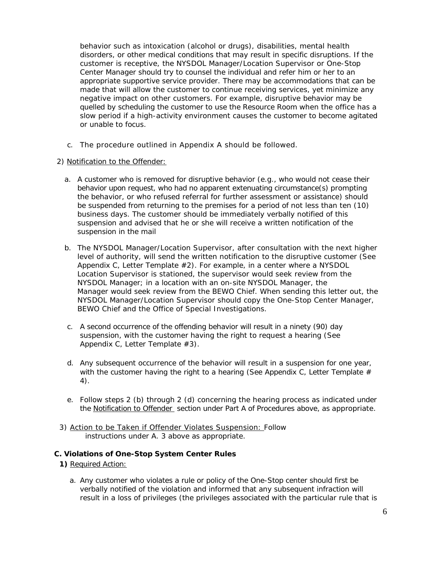behavior such as intoxication (alcohol or drugs), disabilities, mental health disorders, or other medical conditions that may result in specific disruptions. If the customer is receptive, the NYSDOL Manager/Location Supervisor or One-Stop Center Manager should try to counsel the individual and refer him or her to an appropriate supportive service provider. There may be accommodations that can be made that will allow the customer to continue receiving services, yet minimize any negative impact on other customers. For example, disruptive behavior may be quelled by scheduling the customer to use the Resource Room when the office has a slow period if a high-activity environment causes the customer to become agitated or unable to focus.

c. The procedure outlined in Appendix A should be followed.

#### 2) Notification to the Offender:

- a. A customer who is removed for disruptive behavior (e.g., who would not cease their behavior upon request, who had no apparent extenuating circumstance(s) prompting the behavior, or who refused referral for further assessment or assistance) should be suspended from returning to the premises for a period of not less than ten (10) business days. The customer should be immediately verbally notified of this suspension and advised that he or she will receive a written notification of the suspension in the mail
- b. The NYSDOL Manager/Location Supervisor, after consultation with the next higher level of authority, will send the written notification to the disruptive customer (See Appendix C, Letter Template #2). For example, in a center where a NYSDOL Location Supervisor is stationed, the supervisor would seek review from the NYSDOL Manager; in a location with an on-site NYSDOL Manager, the Manager would seek review from the BEWO Chief. When sending this letter out, the NYSDOL Manager/Location Supervisor should copy the One-Stop Center Manager, BEWO Chief and the Office of Special Investigations.
- c. A second occurrence of the offending behavior will result in a ninety (90) day suspension, with the customer having the right to request a hearing (See Appendix C, Letter Template #3).
- d. Any subsequent occurrence of the behavior will result in a suspension for one year, with the customer having the right to a hearing (See Appendix C, Letter Template  $#$ 4).
- e. Follow steps 2 (b) through 2 (d) concerning the hearing process as indicated under the Notification to Offender section under Part A of Procedures above, as appropriate.
- 3) Action to be Taken if Offender Violates Suspension: Follow instructions under A. 3 above as appropriate.

#### **C. Violations of One-Stop System Center Rules**

**1)** Required Action:

a. Any customer who violates a rule or policy of the One-Stop center should first be verbally notified of the violation and informed that any subsequent infraction will result in a loss of privileges (the privileges associated with the particular rule that is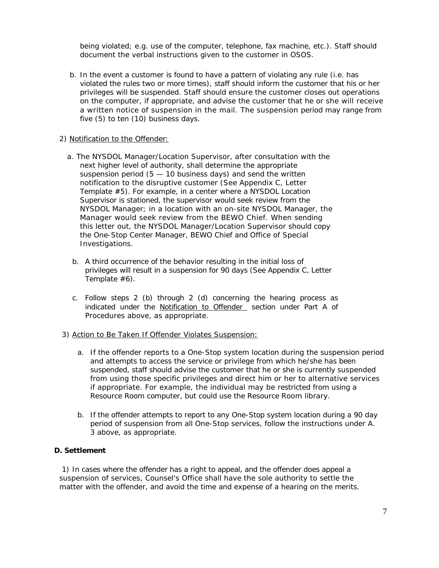being violated; e.g. use of the computer, telephone, fax machine, etc.). Staff should document the verbal instructions given to the customer in OSOS.

b. In the event a customer is found to have a pattern of violating any rule (i.e. has violated the rules two or more times), staff should inform the customer that his or her privileges will be suspended. Staff should ensure the customer closes out operations on the computer, if appropriate, and advise the customer that he or she will receive a written notice of suspension in the mail. The suspension period may range from five (5) to ten (10) business days.

#### 2) Notification to the Offender:

- a. The NYSDOL Manager/Location Supervisor, after consultation with the next higher level of authority, shall determine the appropriate suspension period  $(5 - 10$  business days) and send the written notification to the disruptive customer (See Appendix C, Letter Template #5). For example, in a center where a NYSDOL Location Supervisor is stationed, the supervisor would seek review from the NYSDOL Manager; in a location with an on-site NYSDOL Manager, the Manager would seek review from the BEWO Chief. When sending this letter out, the NYSDOL Manager/Location Supervisor should copy the One-Stop Center Manager, BEWO Chief and Office of Special Investigations.
	- b. A third occurrence of the behavior resulting in the initial loss of privileges will result in a suspension for 90 days (See Appendix C, Letter Template #6).
	- c. Follow steps 2 (b) through 2 (d) concerning the hearing process as indicated under the Notification to Offender section under Part A of Procedures above, as appropriate.

## 3) Action to Be Taken If Offender Violates Suspension:

- a. If the offender reports to a One-Stop system location during the suspension period and attempts to access the service or privilege from which he/she has been suspended, staff should advise the customer that he or she is currently suspended from using those specific privileges and direct him or her to alternative services if appropriate. For example, the individual may be restricted from using a Resource Room computer, but could use the Resource Room library.
- b. If the offender attempts to report to any One-Stop system location during a 90 day period of suspension from all One-Stop services, follow the instructions under A. 3 above, as appropriate.

## **D. Settlement**

1) In cases where the offender has a right to appeal, and the offender does appeal a suspension of services, Counsel's Office shall have the sole authority to settle the matter with the offender, and avoid the time and expense of a hearing on the merits.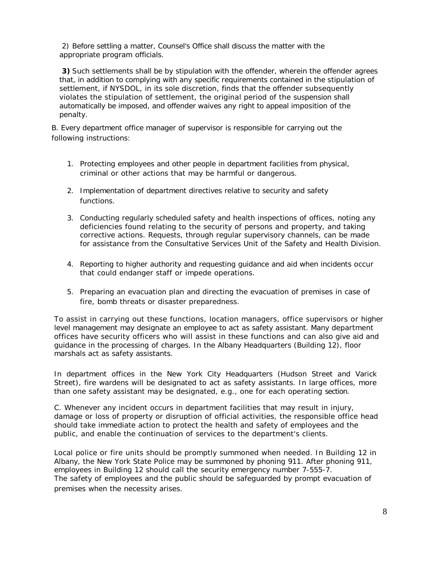2) Before settling a matter, Counsel's Office shall discuss the matter with the appropriate program officials.

**3)** Such settlements shall be by stipulation with the offender, wherein the offender agrees that, in addition to complying with any specific requirements contained in the stipulation of settlement, if NYSDOL, in its sole discretion, finds that the offender subsequently violates the stipulation of settlement, the original period of the suspension shall automatically be imposed, and offender waives any right to appeal imposition of the penalty.

B. Every department office manager of supervisor is responsible for carrying out the following instructions:

- 1. Protecting employees and other people in department facilities from physical, criminal or other actions that may be harmful or dangerous.
- 2. Implementation of department directives relative to security and safety functions.
- 3. Conducting regularly scheduled safety and health inspections of offices, noting any deficiencies found relating to the security of persons and property, and taking corrective actions. Requests, through regular supervisory channels, can be made for assistance from the Consultative Services Unit of the Safety and Health Division.
- 4. Reporting to higher authority and requesting guidance and aid when incidents occur that could endanger staff or impede operations.
- 5. Preparing an evacuation plan and directing the evacuation of premises in case of fire, bomb threats or disaster preparedness.

To assist in carrying out these functions, location managers, office supervisors or higher level management may designate an employee to act as safety assistant. Many department offices have security officers who will assist in these functions and can also give aid and guidance in the processing of charges. In the Albany Headquarters (Building 12), floor marshals act as safety assistants.

In department offices in the New York City Headquarters (Hudson Street and Varick Street), fire wardens will be designated to act as safety assistants. In large offices, more than one safety assistant may be designated, e.g., one for each operating section.

C. Whenever any incident occurs in department facilities that may result in injury, damage or loss of property or disruption of official activities, the responsible office head should take immediate action to protect the health and safety of employees and the public, and enable the continuation of services to the department's clients.

Local police or fire units should be promptly summoned when needed. In Building 12 in Albany, the New York State Police may be summoned by phoning 911. After phoning 911, employees in Building 12 should call the security emergency number 7-555-7. The safety of employees and the public should be safeguarded by prompt evacuation of premises when the necessity arises.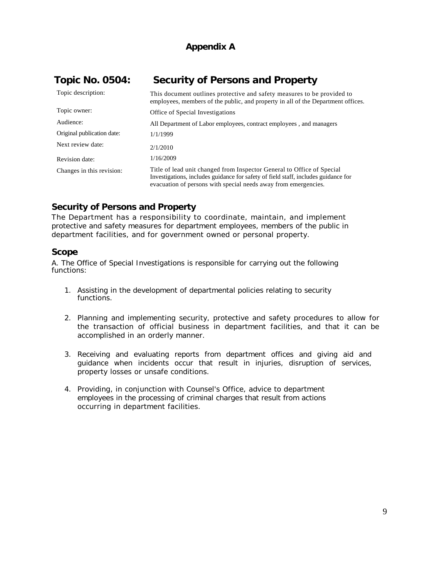# **Appendix A**

| <b>Topic No. 0504:</b>     | <b>Security of Persons and Property</b>                                                                                                                                                                                         |  |
|----------------------------|---------------------------------------------------------------------------------------------------------------------------------------------------------------------------------------------------------------------------------|--|
| Topic description:         | This document outlines protective and safety measures to be provided to<br>employees, members of the public, and property in all of the Department offices.                                                                     |  |
| Topic owner:               | Office of Special Investigations                                                                                                                                                                                                |  |
| Audience:                  | All Department of Labor employees, contract employees, and managers                                                                                                                                                             |  |
| Original publication date: | 1/1/1999                                                                                                                                                                                                                        |  |
| Next review date:          | 2/1/2010                                                                                                                                                                                                                        |  |
| Revision date:             | 1/16/2009                                                                                                                                                                                                                       |  |
| Changes in this revision:  | Title of lead unit changed from Inspector General to Office of Special<br>Investigations, includes guidance for safety of field staff, includes guidance for<br>evacuation of persons with special needs away from emergencies. |  |

# **Security of Persons and Property**

The Department has a responsibility to coordinate, maintain, and implement protective and safety measures for department employees, members of the public in department facilities, and for government owned or personal property.

# **Scope**

A. The Office of Special Investigations is responsible for carrying out the following functions:

- 1. Assisting in the development of departmental policies relating to security functions.
- 2. Planning and implementing security, protective and safety procedures to allow for the transaction of official business in department facilities, and that it can be accomplished in an orderly manner.
- 3. Receiving and evaluating reports from department offices and giving aid and guidance when incidents occur that result in injuries, disruption of services, property losses or unsafe conditions.
- 4. Providing, in conjunction with Counsel's Office, advice to department employees in the processing of criminal charges that result from actions occurring in department facilities.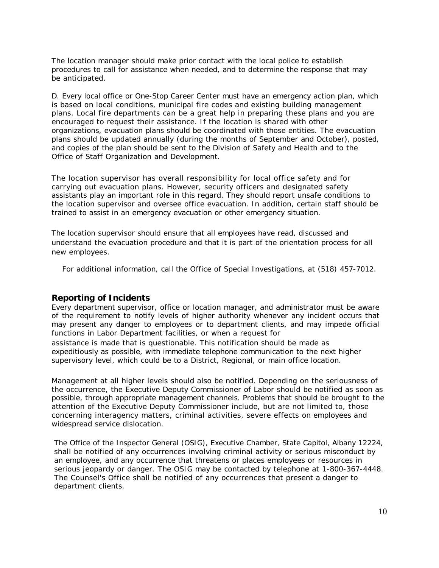The location manager should make prior contact with the local police to establish procedures to call for assistance when needed, and to determine the response that may be anticipated.

D. Every local office or One-Stop Career Center must have an emergency action plan, which is based on local conditions, municipal fire codes and existing building management plans. Local fire departments can be a great help in preparing these plans and you are encouraged to request their assistance. If the location is shared with other organizations, evacuation plans should be coordinated with those entities. The evacuation plans should be updated annually (during the months of September and October), posted, and copies of the plan should be sent to the Division of Safety and Health and to the Office of Staff Organization and Development.

The location supervisor has overall responsibility for local office safety and for carrying out evacuation plans. However, security officers and designated safety assistants play an important role in this regard. They should report unsafe conditions to the location supervisor and oversee office evacuation. In addition, certain staff should be trained to assist in an emergency evacuation or other emergency situation.

The location supervisor should ensure that all employees have read, discussed and understand the evacuation procedure and that it is part of the orientation process for all new employees.

For additional information, call the Office of Special Investigations, at (518) 457-7012.

#### **Reporting of Incidents**

Every department supervisor, office or location manager, and administrator must be aware of the requirement to notify levels of higher authority whenever any incident occurs that may present any danger to employees or to department clients, and may impede official functions in Labor Department facilities, or when a request for assistance is made that is questionable. This notification should be made as expeditiously as possible, with immediate telephone communication to the next higher supervisory level, which could be to a District, Regional, or main office location.

Management at all higher levels should also be notified. Depending on the seriousness of the occurrence, the Executive Deputy Commissioner of Labor should be notified as soon as possible, through appropriate management channels. Problems that should be brought to the attention of the Executive Deputy Commissioner include, but are not limited to, those concerning interagency matters, criminal activities, severe effects on employees and widespread service dislocation.

The Office of the Inspector General (OSIG), Executive Chamber, State Capitol, Albany 12224, shall be notified of any occurrences involving criminal activity or serious misconduct by an employee, and any occurrence that threatens or places employees or resources in serious jeopardy or danger. The OSIG may be contacted by telephone at 1-800-367-4448. The Counsel's Office shall be notified of any occurrences that present a danger to department clients.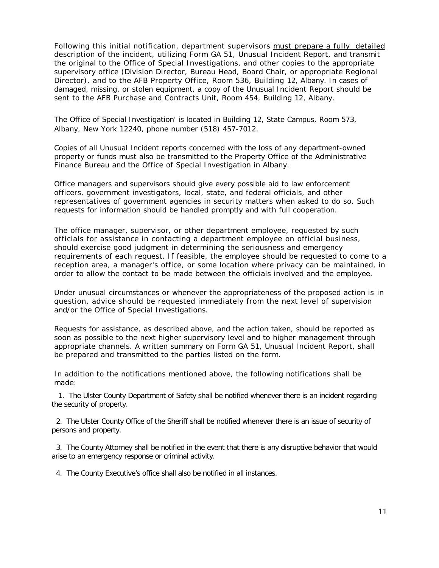Following this initial notification, department supervisors must prepare a fully detailed description of the incident, utilizing Form GA 51, Unusual Incident Report, and transmit the original to the Office of Special Investigations, and other copies to the appropriate supervisory office (Division Director, Bureau Head, Board Chair, or appropriate Regional Director), and to the AFB Property Office, Room 536, Building 12, Albany. In cases of damaged, missing, or stolen equipment, a copy of the Unusual Incident Report should be sent to the AFB Purchase and Contracts Unit, Room 454, Building 12, Albany.

The Office of Special Investigation' is located in Building 12, State Campus, Room 573, Albany, New York 12240, phone number (518) 457-7012.

Copies of all Unusual Incident reports concerned with the loss of any department-owned property or funds must also be transmitted to the Property Office of the Administrative Finance Bureau and the Office of Special Investigation in Albany.

Office managers and supervisors should give every possible aid to law enforcement officers, government investigators, local, state, and federal officials, and other representatives of government agencies in security matters when asked to do so. Such requests for information should be handled promptly and with full cooperation.

The office manager, supervisor, or other department employee, requested by such officials for assistance in contacting a department employee on official business, should exercise good judgment in determining the seriousness and emergency requirements of each request. If feasible, the employee should be requested to come to a reception area, a manager's office, or some location where privacy can be maintained, in order to allow the contact to be made between the officials involved and the employee.

Under unusual circumstances or whenever the appropriateness of the proposed action is in question, advice should be requested immediately from the next level of supervision and/or the Office of Special Investigations.

Requests for assistance, as described above, and the action taken, should be reported as soon as possible to the next higher supervisory level and to higher management through appropriate channels. A written summary on Form GA 51, Unusual Incident Report, shall be prepared and transmitted to the parties listed on the form.

In addition to the notifications mentioned above, the following notifications shall be made:

 1. The Ulster County Department of Safety shall be notified whenever there is an incident regarding the security of property.

 2. The Ulster County Office of the Sheriff shall be notified whenever there is an issue of security of persons and property.

 3. The County Attorney shall be notified in the event that there is any disruptive behavior that would arise to an emergency response or criminal activity.

4. The County Executive's office shall also be notified in all instances.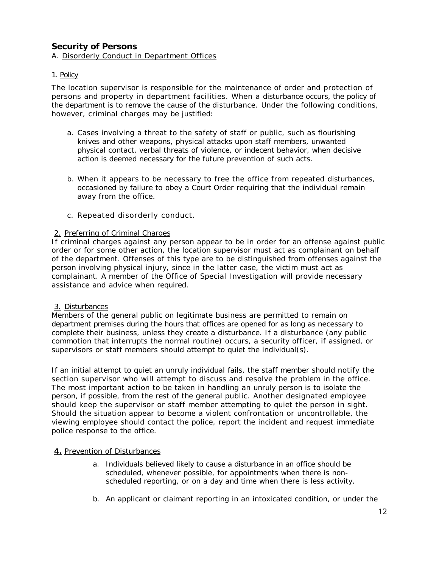# **Security of Persons**

#### A. Disorderly Conduct in Department Offices

#### 1. Policy

The location supervisor is responsible for the maintenance of order and protection of persons and property in department facilities. When a disturbance occurs, the policy of the department is to remove the cause of the disturbance. Under the following conditions, however, criminal charges may be justified:

- a. Cases involving a threat to the safety of staff or public, such as flourishing knives and other weapons, physical attacks upon staff members, unwanted physical contact, verbal threats of violence, or indecent behavior, when decisive action is deemed necessary for the future prevention of such acts.
- b. When it appears to be necessary to free the office from repeated disturbances, occasioned by failure to obey a Court Order requiring that the individual remain away from the office.
- c. Repeated disorderly conduct.

#### 2. Preferring of Criminal Charges

If criminal charges against any person appear to be in order for an offense against public order or for some other action, the location supervisor must act as complainant on behalf of the department. Offenses of this type are to be distinguished from offenses against the person involving physical injury, since in the latter case, the victim must act as complainant. A member of the Office of Special Investigation will provide necessary assistance and advice when required.

#### 3. Disturbances

Members of the general public on legitimate business are permitted to remain on department premises during the hours that offices are opened for as long as necessary to complete their business, unless they create a disturbance. If a disturbance (any public commotion that interrupts the normal routine) occurs, a security officer, if assigned, or supervisors or staff members should attempt to quiet the individual(s).

If an initial attempt to quiet an unruly individual fails, the staff member should notify the section supervisor who will attempt to discuss and resolve the problem in the office. The most important action to be taken in handling an unruly person is to isolate the person, if possible, from the rest of the general public. Another designated employee should keep the supervisor or staff member attempting to quiet the person in sight. Should the situation appear to become a violent confrontation or uncontrollable, the viewing employee should contact the police, report the incident and request immediate police response to the office.

## **4.** Prevention of Disturbances

- a. Individuals believed likely to cause a disturbance in an office should be scheduled, whenever possible, for appointments when there is nonscheduled reporting, or on a day and time when there is less activity.
- b. An applicant or claimant reporting in an intoxicated condition, or under the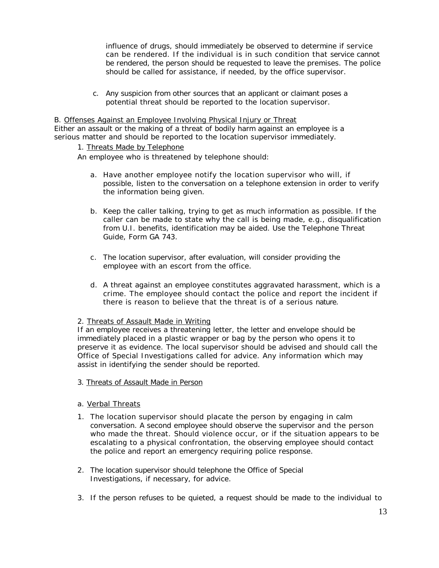influence of drugs, should immediately be observed to determine if service can be rendered. If the individual is in such condition that service cannot be rendered, the person should be requested to leave the premises. The police should be called for assistance, if needed, by the office supervisor.

c. Any suspicion from other sources that an applicant or claimant poses a potential threat should be reported to the location supervisor.

B. Offenses Against an Employee Involving Physical Injury or Threat Either an assault or the making of a threat of bodily harm against an employee is a serious matter and should be reported to the location supervisor immediately.

## 1. Threats Made by Telephone

An employee who is threatened by telephone should:

- a. Have another employee notify the location supervisor who will, if possible, listen to the conversation on a telephone extension in order to verify the information being given.
- b. Keep the caller talking, trying to get as much information as possible. If the caller can be made to state why the call is being made, e.g., disqualification from U.I. benefits, identification may be aided. Use the Telephone Threat Guide, Form GA 743.
- c. The location supervisor, after evaluation, will consider providing the employee with an escort from the office.
- d. A threat against an employee constitutes aggravated harassment, which is a crime. The employee should contact the police and report the incident if there is reason to believe that the threat is of a serious nature.

#### 2. Threats of Assault Made in Writing

If an employee receives a threatening letter, the letter and envelope should be immediately placed in a plastic wrapper or bag by the person who opens it to preserve it as evidence. The local supervisor should be advised and should call the Office of Special Investigations called for advice. Any information which may assist in identifying the sender should be reported.

# 3. Threats of Assault Made in Person

## a. Verbal Threats

- 1. The location supervisor should placate the person by engaging in calm conversation. A second employee should observe the supervisor and the person who made the threat. Should violence occur, or if the situation appears to be escalating to a physical confrontation, the observing employee should contact the police and report an emergency requiring police response.
- 2. The location supervisor should telephone the Office of Special Investigations, if necessary, for advice.
- 3. If the person refuses to be quieted, a request should be made to the individual to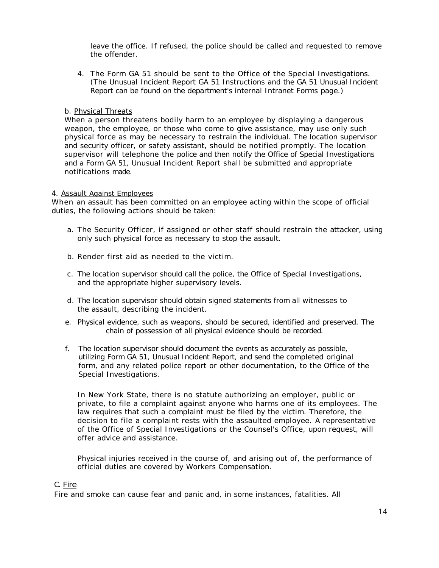leave the office. If refused, the police should be called and requested to remove the offender.

4. The Form GA 51 should be sent to the Office of the Special Investigations. (The Unusual Incident Report GA 51 Instructions and the GA 51 Unusual Incident Report can be found on the department's internal Intranet Forms page.)

#### b. Physical Threats

When a person threatens bodily harm to an employee by displaying a dangerous weapon, the employee, or those who come to give assistance, may use only such physical force as may be necessary to restrain the individual. The location supervisor and security officer, or safety assistant, should be notified promptly. The location supervisor will telephone the police and then notify the Office of Special Investigations and a Form GA 51, Unusual Incident Report shall be submitted and appropriate notifications made.

#### 4. Assault Against Employees

When an assault has been committed on an employee acting within the scope of official duties, the following actions should be taken:

- a. The Security Officer, if assigned or other staff should restrain the attacker, using only such physical force as necessary to stop the assault.
- b. Render first aid as needed to the victim.
- c. The location supervisor should call the police, the Office of Special Investigations, and the appropriate higher supervisory levels.
- d. The location supervisor should obtain signed statements from all witnesses to the assault, describing the incident.
- e. Physical evidence, such as weapons, should be secured, identified and preserved. The chain of possession of all physical evidence should be recorded.
- f. The location supervisor should document the events as accurately as possible, utilizing Form GA 51, Unusual Incident Report, and send the completed original form, and any related police report or other documentation, to the Office of the Special Investigations.

In New York State, there is no statute authorizing an employer, public or private, to file a complaint against anyone who harms one of its employees. The law requires that such a complaint must be filed by the victim. Therefore, the decision to file a complaint rests with the assaulted employee. A representative of the Office of Special Investigations or the Counsel's Office, upon request, will offer advice and assistance.

Physical injuries received in the course of, and arising out of, the performance of official duties are covered by Workers Compensation.

## C. Fire

Fire and smoke can cause fear and panic and, in some instances, fatalities. All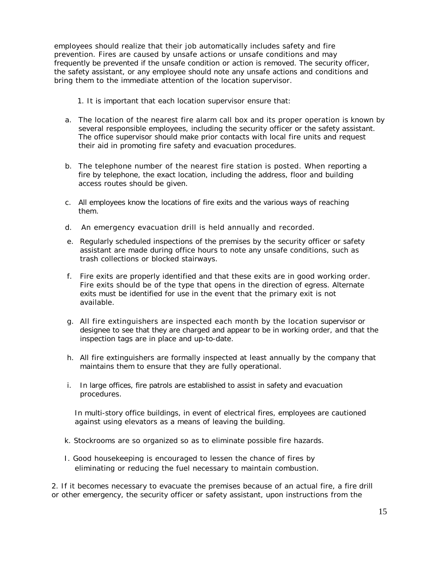employees should realize that their job automatically includes safety and fire prevention. Fires are caused by unsafe actions or unsafe conditions and may frequently be prevented if the unsafe condition or action is removed. The security officer, the safety assistant, or any employee should note any unsafe actions and conditions and bring them to the immediate attention of the location supervisor.

1. It is important that each location supervisor ensure that:

- a. The location of the nearest fire alarm call box and its proper operation is known by several responsible employees, including the security officer or the safety assistant. The office supervisor should make prior contacts with local fire units and request their aid in promoting fire safety and evacuation procedures.
- b. The telephone number of the nearest fire station is posted. When reporting a fire by telephone, the exact location, including the address, floor and building access routes should be given.
- c. All employees know the locations of fire exits and the various ways of reaching them.
- d. An emergency evacuation drill is held annually and recorded.
- e. Regularly scheduled inspections of the premises by the security officer or safety assistant are made during office hours to note any unsafe conditions, such as trash collections or blocked stairways.
- f. Fire exits are properly identified and that these exits are in good working order. Fire exits should be of the type that opens in the direction of egress. Alternate exits must be identified for use in the event that the primary exit is not available.
- g. All fire extinguishers are inspected each month by the location supervisor or designee to see that they are charged and appear to be in working order, and that the inspection tags are in place and up-to-date.
- h. All fire extinguishers are formally inspected at least annually by the company that maintains them to ensure that they are fully operational.
- i. In large offices, fire patrols are established to assist in safety and evacuation procedures.

In multi-story office buildings, in event of electrical fires, employees are cautioned against using elevators as a means of leaving the building.

- k. Stockrooms are so organized so as to eliminate possible fire hazards.
- I. Good housekeeping is encouraged to lessen the chance of fires by eliminating or reducing the fuel necessary to maintain combustion.

2. If it becomes necessary to evacuate the premises because of an actual fire, a fire drill or other emergency, the security officer or safety assistant, upon instructions from the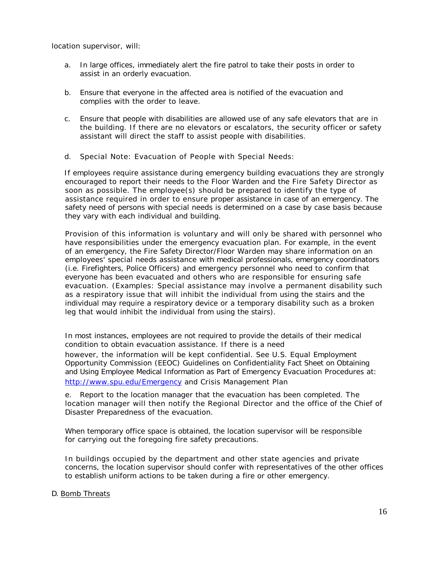location supervisor, will:

- a. In large offices, immediately alert the fire patrol to take their posts in order to assist in an orderly evacuation.
- b. Ensure that everyone in the affected area is notified of the evacuation and complies with the order to leave.
- c. Ensure that people with disabilities are allowed use of any safe elevators that are in the building. If there are no elevators or escalators, the security officer or safety assistant will direct the staff to assist people with disabilities.
- d. Special Note: Evacuation of People with Special Needs:

If employees require assistance during emergency building evacuations they are strongly encouraged to report their needs to the Floor Warden and the Fire Safety Director as soon as possible. The employee(s) should be prepared to identify the type of assistance required in order to ensure proper assistance in case of an emergency. The safety need of persons with special needs is determined on a case by case basis because they vary with each individual and building.

Provision of this information is voluntary and will only be shared with personnel who have responsibilities under the emergency evacuation plan. For example, in the event of an emergency, the Fire Safety Director/Floor Warden may share information on an employees' special needs assistance with medical professionals, emergency coordinators (i.e. Firefighters, Police Officers) and emergency personnel who need to confirm that everyone has been evacuated and others who are responsible for ensuring safe evacuation. (Examples: Special assistance may involve a permanent disability such as a respiratory issue that will inhibit the individual from using the stairs and the individual may require a respiratory device or a temporary disability such as a broken leg that would inhibit the individual from using the stairs).

In most instances, employees are not required to provide the details of their medical condition to obtain evacuation assistance. If there is a need however, the information will be kept confidential. See U.S. Equal Employment Opportunity Commission (EEOC) Guidelines on Confidentiality Fact Sheet on Obtaining and Using Employee Medical Information as Part of Emergency Evacuation Procedures at: <http://www.spu.edu/Emergency> and Crisis Management Plan

e. Report to the location manager that the evacuation has been completed. The location manager will then notify the Regional Director and the office of the Chief of Disaster Preparedness of the evacuation.

When temporary office space is obtained, the location supervisor will be responsible for carrying out the foregoing fire safety precautions.

In buildings occupied by the department and other state agencies and private concerns, the location supervisor should confer with representatives of the other offices to establish uniform actions to be taken during a fire or other emergency.

#### D. Bomb Threats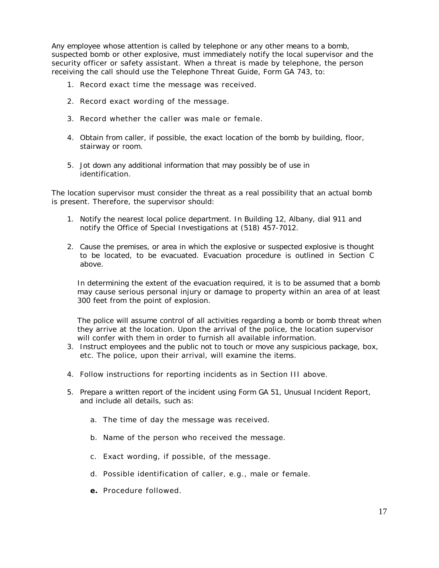Any employee whose attention is called by telephone or any other means to a bomb, suspected bomb or other explosive, must immediately notify the local supervisor and the security officer or safety assistant. When a threat is made by telephone, the person receiving the call should use the Telephone Threat Guide, Form GA 743, to:

- 1. Record exact time the message was received.
- 2. Record exact wording of the message.
- 3. Record whether the caller was male or female.
- 4. Obtain from caller, if possible, the exact location of the bomb by building, floor, stairway or room.
- 5. Jot down any additional information that may possibly be of use in identification.

The location supervisor must consider the threat as a real possibility that an actual bomb is present. Therefore, the supervisor should:

- 1. Notify the nearest local police department. In Building 12, Albany, dial 911 and notify the Office of Special Investigations at (518) 457-7012.
- 2. Cause the premises, or area in which the explosive or suspected explosive is thought to be located, to be evacuated. Evacuation procedure is outlined in Section C above.

In determining the extent of the evacuation required, it is to be assumed that a bomb may cause serious personal injury or damage to property within an area of at least 300 feet from the point of explosion.

The police will assume control of all activities regarding a bomb or bomb threat when they arrive at the location. Upon the arrival of the police, the location supervisor will confer with them in order to furnish all available information.

- 3. Instruct employees and the public not to touch or move any suspicious package, box, etc. The police, upon their arrival, will examine the items.
- 4. Follow instructions for reporting incidents as in Section III above.
- 5. Prepare a written report of the incident using Form GA 51, Unusual Incident Report, and include all details, such as:
	- a. The time of day the message was received.
	- b. Name of the person who received the message.
	- c. Exact wording, if possible, of the message.
	- d. Possible identification of caller, e.g., male or female.
	- **e.** Procedure followed.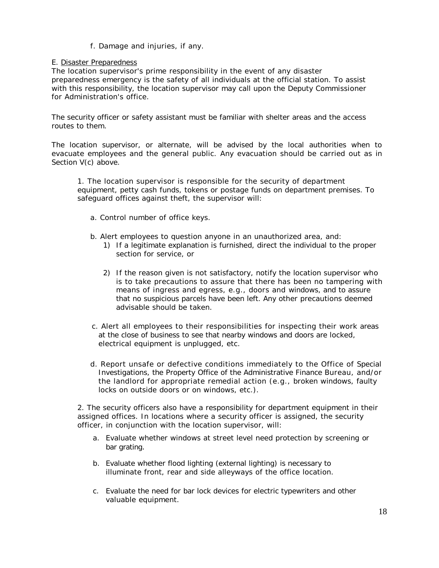# f. Damage and injuries, if any.

#### E. Disaster Preparedness

The location supervisor's prime responsibility in the event of any disaster preparedness emergency is the safety of all individuals at the official station. To assist with this responsibility, the location supervisor may call upon the Deputy Commissioner for Administration's office.

The security officer or safety assistant must be familiar with shelter areas and the access routes to them.

The location supervisor, or alternate, will be advised by the local authorities when to evacuate employees and the general public. Any evacuation should be carried out as in Section V(c) above.

1. The location supervisor is responsible for the security of department equipment, petty cash funds, tokens or postage funds on department premises. To safeguard offices against theft, the supervisor will:

a. Control number of office keys.

b. Alert employees to question anyone in an unauthorized area, and:

- 1) If a legitimate explanation is furnished, direct the individual to the proper section for service, or
- 2) If the reason given is not satisfactory, notify the location supervisor who is to take precautions to assure that there has been no tampering with means of ingress and egress, e.g., doors and windows, and to assure that no suspicious parcels have been left. Any other precautions deemed advisable should be taken.
- c. Alert all employees to their responsibilities for inspecting their work areas at the close of business to see that nearby windows and doors are locked, electrical equipment is unplugged, etc.
- d. Report unsafe or defective conditions immediately to the Office of Special Investigations, the Property Office of the Administrative Finance Bureau, and/or the landlord for appropriate remedial action (e.g., broken windows, faulty locks on outside doors or on windows, etc.).

2. The security officers also have a responsibility for department equipment in their assigned offices. In locations where a security officer is assigned, the security officer, in conjunction with the location supervisor, will:

- a. Evaluate whether windows at street level need protection by screening or bar grating.
- b. Evaluate whether flood lighting (external lighting) is necessary to illuminate front, rear and side alleyways of the office location.
- c. Evaluate the need for bar lock devices for electric typewriters and other valuable equipment.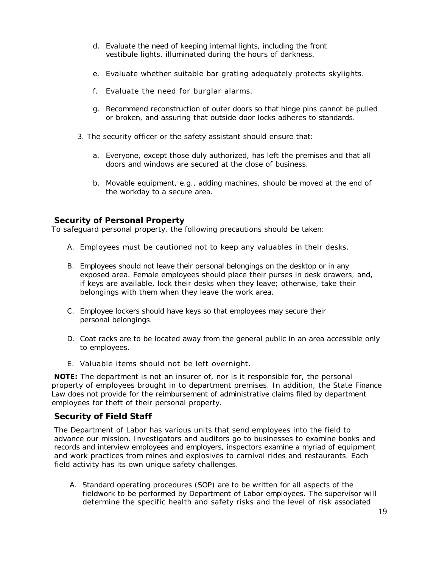- d. Evaluate the need of keeping internal lights, including the front vestibule lights, illuminated during the hours of darkness.
- e. Evaluate whether suitable bar grating adequately protects skylights.
- f. Evaluate the need for burglar alarms.
- g. Recommend reconstruction of outer doors so that hinge pins cannot be pulled or broken, and assuring that outside door locks adheres to standards.
- 3. The security officer or the safety assistant should ensure that:
	- a. Everyone, except those duly authorized, has left the premises and that all doors and windows are secured at the close of business.
	- b. Movable equipment, e.g., adding machines, should be moved at the end of the workday to a secure area.

# **Security of Personal Property**

To safeguard personal property, the following precautions should be taken:

- A. Employees must be cautioned not to keep any valuables in their desks.
- B. Employees should not leave their personal belongings on the desktop or in any exposed area. Female employees should place their purses in desk drawers, and, if keys are available, lock their desks when they leave; otherwise, take their belongings with them when they leave the work area.
- C. Employee lockers should have keys so that employees may secure their personal belongings.
- D. Coat racks are to be located away from the general public in an area accessible only to employees.
- E. Valuable items should not be left overnight.

**NOTE:** The department is not an insurer of, nor is it responsible for, the personal property of employees brought in to department premises. In addition, the State Finance Law does not provide for the reimbursement of administrative claims filed by department employees for theft of their personal property.

# **Security of Field Staff**

The Department of Labor has various units that send employees into the field to advance our mission. Investigators and auditors go to businesses to examine books and records and interview employees and employers, inspectors examine a myriad of equipment and work practices from mines and explosives to carnival rides and restaurants. Each field activity has its own unique safety challenges.

A. Standard operating procedures (SOP) are to be written for all aspects of the fieldwork to be performed by Department of Labor employees. The supervisor will determine the specific health and safety risks and the level of risk associated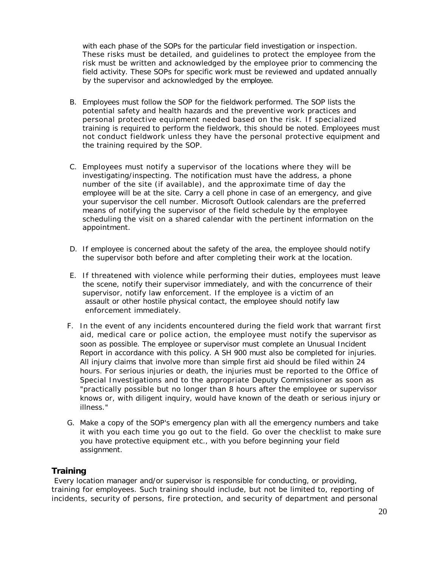with each phase of the SOPs for the particular field investigation or inspection. These risks must be detailed, and guidelines to protect the employee from the risk must be written and acknowledged by the employee prior to commencing the field activity. These SOPs for specific work must be reviewed and updated annually by the supervisor and acknowledged by the employee.

- B. Employees must follow the SOP for the fieldwork performed. The SOP lists the potential safety and health hazards and the preventive work practices and personal protective equipment needed based on the risk. If specialized training is required to perform the fieldwork, this should be noted. Employees must not conduct fieldwork unless they have the personal protective equipment and the training required by the SOP.
- C. Employees must notify a supervisor of the locations where they will be investigating/inspecting. The notification must have the address, a phone number of the site (if available), and the approximate time of day the employee will be at the site. Carry a cell phone in case of an emergency, and give your supervisor the cell number. Microsoft Outlook calendars are the preferred means of notifying the supervisor of the field schedule by the employee scheduling the visit on a shared calendar with the pertinent information on the appointment.
- D. If employee is concerned about the safety of the area, the employee should notify the supervisor both before and after completing their work at the location.
- E. If threatened with violence while performing their duties, employees must leave the scene, notify their supervisor immediately, and with the concurrence of their supervisor, notify law enforcement. If the employee is a victim of an assault or other hostile physical contact, the employee should notify law enforcement immediately.
- F. In the event of any incidents encountered during the field work that warrant first aid, medical care or police action, the employee must notify the supervisor as soon as possible. The employee or supervisor must complete an Unusual Incident Report in accordance with this policy. A SH 900 must also be completed for injuries. All injury claims that involve more than simple first aid should be filed within 24 hours. For serious injuries or death, the injuries must be reported to the Office of Special Investigations and to the appropriate Deputy Commissioner as soon as "practically possible but no longer than 8 hours after the employee or supervisor knows or, with diligent inquiry, would have known of the death or serious injury or illness."
- G. Make a copy of the SOP's emergency plan with all the emergency numbers and take it with you each time you go out to the field. Go over the checklist to make sure you have protective equipment etc., with you before beginning your field assignment.

# **Training**

Every location manager and/or supervisor is responsible for conducting, or providing, training for employees. Such training should include, but not be limited to, reporting of incidents, security of persons, fire protection, and security of department and personal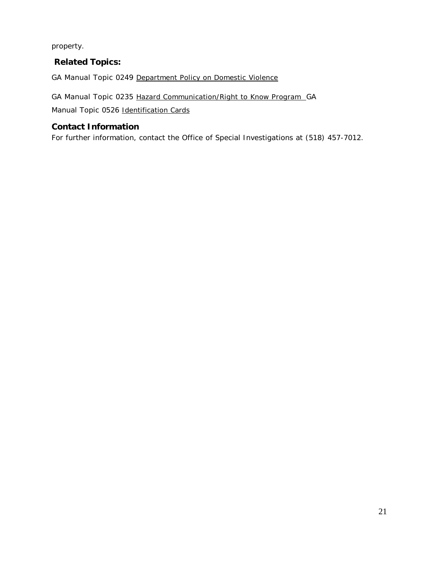property.

# **Related Topics:**

GA Manual Topic 0249 Department Policy on Domestic Violence

GA Manual Topic 0235 Hazard Communication/Right to Know Program GA

Manual Topic 0526 Identification Cards

# **Contact Information**

For further information, contact the Office of Special Investigations at (518) 457-7012.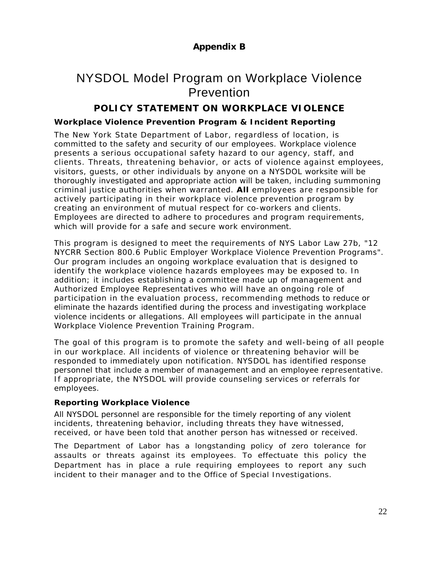# NYSDOL Model Program on Workplace Violence Prevention

# **POLICY STATEMENT ON WORKPLACE VIOLENCE**

# **Workplace Violence Prevention Program & Incident Reporting**

The New York State Department of Labor, regardless of location, is committed to the safety and security of our employees. Workplace violence presents a serious occupational safety hazard to our agency, staff, and clients. Threats, threatening behavior, or acts of violence against employees, visitors, guests, or other individuals by anyone on a NYSDOL worksite will be thoroughly investigated and appropriate action will be taken, including summoning criminal justice authorities when warranted. **All** employees are responsible for actively participating in their workplace violence prevention program by creating an environment of mutual respect for co-workers and clients. Employees are directed to adhere to procedures and program requirements, which will provide for a safe and secure work environment.

This program is designed to meet the requirements of NYS Labor Law 27b, "12 NYCRR Section 800.6 Public Employer Workplace Violence Prevention Programs". Our program includes an ongoing workplace evaluation that is designed to identify the workplace violence hazards employees may be exposed to. In addition; it includes establishing a committee made up of management and Authorized Employee Representatives who will have an ongoing role of participation in the evaluation process, recommending methods to reduce or eliminate the hazards identified during the process and investigating workplace violence incidents or allegations. All employees will participate in the annual Workplace Violence Prevention Training Program.

The goal of this program is to promote the safety and well-being of all people in our workplace. All incidents of violence or threatening behavior will be responded to immediately upon notification. NYSDOL has identified response personnel that include a member of management and an employee representative. If appropriate, the NYSDOL will provide counseling services or referrals for employees.

# **Reporting Workplace Violence**

All NYSDOL personnel are responsible for the timely reporting of any violent incidents, threatening behavior, including threats they have witnessed, received, or have been told that another person has witnessed or received.

The Department of Labor has a longstanding policy of zero tolerance for assaults or threats against its employees. To effectuate this policy the Department has in place a rule requiring employees to report any such incident to their manager and to the Office of Special Investigations.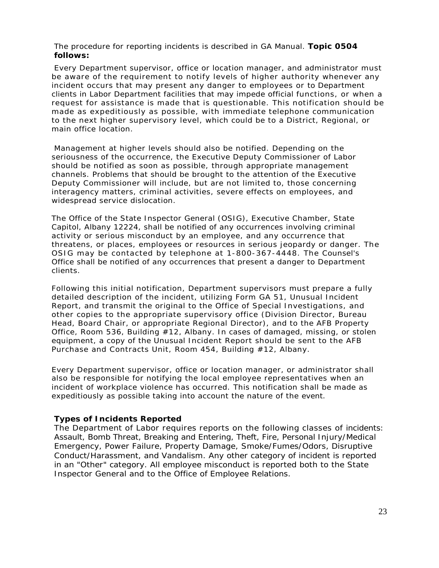The procedure for reporting incidents is described in GA Manual. **Topic 0504 follows:**

Every Department supervisor, office or location manager, and administrator must be aware of the requirement to notify levels of higher authority whenever any incident occurs that may present any danger to employees or to Department clients in Labor Department facilities that may impede official functions, or when a request for assistance is made that is questionable. This notification should be made as expeditiously as possible, with immediate telephone communication to the next higher supervisory level, which could be to a District, Regional, or main office location.

Management at higher levels should also be notified. Depending on the seriousness of the occurrence, the Executive Deputy Commissioner of Labor should be notified as soon as possible, through appropriate management channels. Problems that should be brought to the attention of the Executive Deputy Commissioner will include, but are not limited to, those concerning interagency matters, criminal activities, severe effects on employees, and widespread service dislocation.

The Office of the State Inspector General (OSIG), Executive Chamber, State Capitol, Albany 12224, shall be notified of any occurrences involving criminal activity or serious misconduct by an employee, and any occurrence that threatens, or places, employees or resources in serious jeopardy or danger. The OSIG may be contacted by telephone at 1-800-367-4448. The Counsel's Office shall be notified of any occurrences that present a danger to Department clients.

Following this initial notification, Department supervisors must prepare a fully detailed description of the incident, utilizing Form GA 51, Unusual Incident Report, and transmit the original to the Office of Special Investigations, and other copies to the appropriate supervisory office (Division Director, Bureau Head, Board Chair, or appropriate Regional Director), and to the AFB Property Office, Room 536, Building #12, Albany. In cases of damaged, missing, or stolen equipment, a copy of the Unusual Incident Report should be sent to the AFB Purchase and Contracts Unit, Room 454, Building #12, Albany.

Every Department supervisor, office or location manager, or administrator shall also be responsible for notifying the local employee representatives when an incident of workplace violence has occurred. This notification shall be made as expeditiously as possible taking into account the nature of the event.

#### **Types of Incidents Reported**

The Department of Labor requires reports on the following classes of incidents: Assault, Bomb Threat, Breaking and Entering, Theft, Fire, Personal Injury/Medical Emergency, Power Failure, Property Damage, Smoke/Fumes/Odors, Disruptive Conduct/Harassment, and Vandalism. Any other category of incident is reported in an "Other" category. All employee misconduct is reported both to the State Inspector General and to the Office of Employee Relations.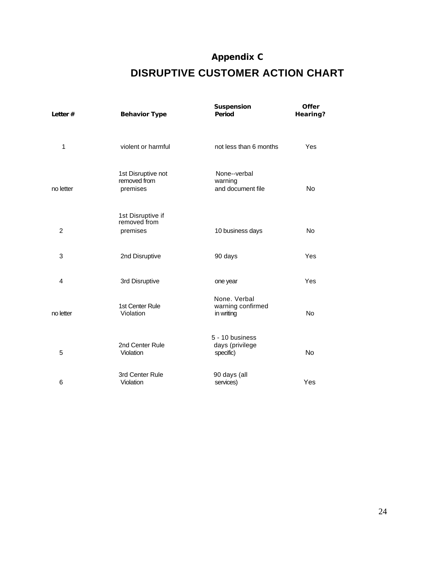# **Appendix C**

# **DISRUPTIVE CUSTOMER ACTION CHART**

| Letter $#$     | <b>Behavior Type</b>                           | Suspension<br>Period                            | <b>Offer</b><br>Hearing? |
|----------------|------------------------------------------------|-------------------------------------------------|--------------------------|
| 1              | violent or harmful                             | not less than 6 months                          | Yes                      |
| no letter      | 1st Disruptive not<br>removed from<br>premises | None--verbal<br>warning<br>and document file    | <b>No</b>                |
| $\overline{2}$ | 1st Disruptive if<br>removed from<br>premises  | 10 business days                                | <b>No</b>                |
| 3              | 2nd Disruptive                                 | 90 days                                         | Yes                      |
| 4              | 3rd Disruptive                                 | one year                                        | Yes                      |
| no letter      | 1st Center Rule<br>Violation                   | None, Verbal<br>warning confirmed<br>in writing | <b>No</b>                |
| 5              | 2nd Center Rule<br>Violation                   | 5 - 10 business<br>days (privilege<br>specific) | <b>No</b>                |
| 6              | 3rd Center Rule<br>Violation                   | 90 days (all<br>services)                       | Yes                      |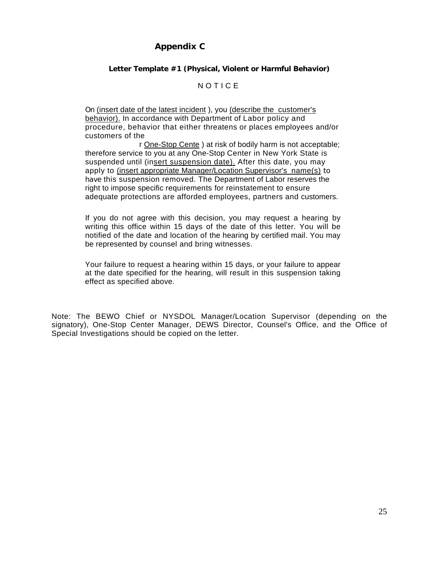# **Appendix C**

# **Letter Template #1 (Physical, Violent or Harmful Behavior)**

## NOTICE

On (insert date of the latest incident ), you (describe the customer's behavior). In accordance with Department of Labor policy and procedure, behavior that either threatens or places employees and/or customers of the

r One-Stop Cente ) at risk of bodily harm is not acceptable; therefore service to you at any One-Stop Center in New York State is suspended until (insert suspension date). After this date, you may apply to (insert appropriate Manager/Location Supervisor's name(s) to have this suspension removed. The Department of Labor reserves the right to impose specific requirements for reinstatement to ensure adequate protections are afforded employees, partners and customers.

If you do not agree with this decision, you may request a hearing by writing this office within 15 days of the date of this letter. You will be notified of the date and location of the hearing by certified mail. You may be represented by counsel and bring witnesses.

Your failure to request a hearing within 15 days, or your failure to appear at the date specified for the hearing, will result in this suspension taking effect as specified above.

Note: The BEWO Chief or NYSDOL Manager/Location Supervisor (depending on the signatory), One-Stop Center Manager, DEWS Director, Counsel's Office, and the Office of Special Investigations should be copied on the letter.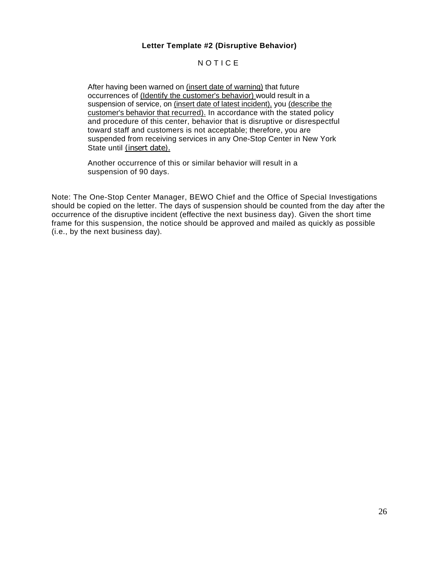# **Letter Template #2 (Disruptive Behavior)**

# NOTICE

After having been warned on (insert date of warning) that future occurrences of (Identify the customer's behavior) would result in a suspension of service, on (insert date of latest incident), you (describe the customer's behavior that recurred). In accordance with the stated policy and procedure of this center, behavior that is disruptive or disrespectful toward staff and customers is not acceptable; therefore, you are suspended from receiving services in any One-Stop Center in New York State until (insert date).

Another occurrence of this or similar behavior will result in a suspension of 90 days.

Note: The One-Stop Center Manager, BEWO Chief and the Office of Special Investigations should be copied on the letter. The days of suspension should be counted from the day after the occurrence of the disruptive incident (effective the next business day). Given the short time frame for this suspension, the notice should be approved and mailed as quickly as possible (i.e., by the next business day).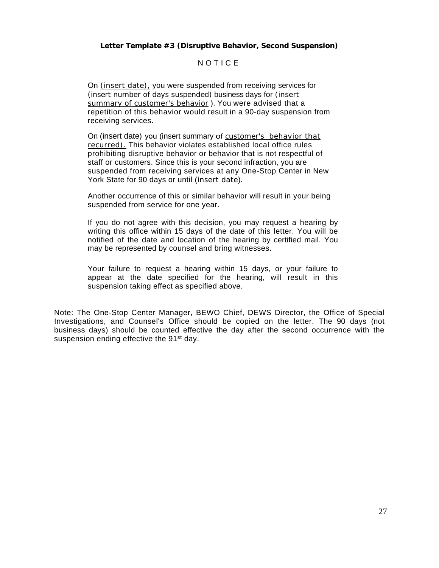**Letter Template #3 (Disruptive Behavior, Second Suspension)**

# NOTICE

On (insert date), you were suspended from receiving services for (insert number of days suspended) business days for (insert summary of customer's behavior ). You were advised that a repetition of this behavior would result in a 90-day suspension from receiving services.

On (insert date) you (insert summary of customer's behavior that recurred). This behavior violates established local office rules prohibiting disruptive behavior or behavior that is not respectful of staff or customers. Since this is your second infraction, you are suspended from receiving services at any One-Stop Center in New York State for 90 days or until (insert date).

Another occurrence of this or similar behavior will result in your being suspended from service for one year.

If you do not agree with this decision, you may request a hearing by writing this office within 15 days of the date of this letter. You will be notified of the date and location of the hearing by certified mail. You may be represented by counsel and bring witnesses.

Your failure to request a hearing within 15 days, or your failure to appear at the date specified for the hearing, will result in this suspension taking effect as specified above.

Note: The One-Stop Center Manager, BEWO Chief, DEWS Director, the Office of Special Investigations, and Counsel's Office should be copied on the letter. The 90 days (not business days) should be counted effective the day after the second occurrence with the suspension ending effective the 91<sup>st</sup> day.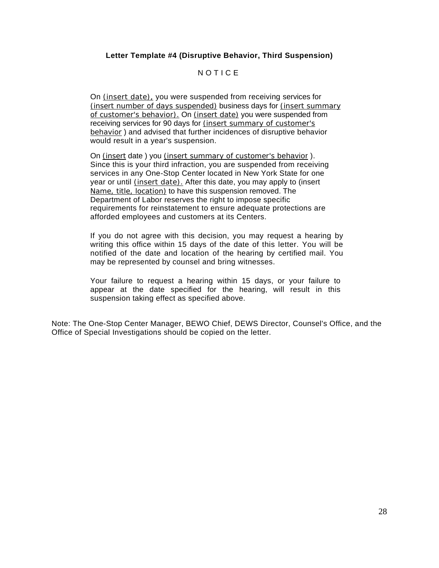# **Letter Template #4 (Disruptive Behavior, Third Suspension)**

# NOTICE

On (insert date), you were suspended from receiving services for (insert number of days suspended) business days for (insert summary of customer's behavior). On (insert date) you were suspended from receiving services for 90 days for (insert summary of customer's behavior ) and advised that further incidences of disruptive behavior would result in a year's suspension.

On (insert date ) you (insert summary of customer's behavior ). Since this is your third infraction, you are suspended from receiving services in any One-Stop Center located in New York State for one year or until (insert date). After this date, you may apply to (insert Name, title, location) to have this suspension removed. The Department of Labor reserves the right to impose specific requirements for reinstatement to ensure adequate protections are afforded employees and customers at its Centers.

If you do not agree with this decision, you may request a hearing by writing this office within 15 days of the date of this letter. You will be notified of the date and location of the hearing by certified mail. You may be represented by counsel and bring witnesses.

Your failure to request a hearing within 15 days, or your failure to appear at the date specified for the hearing, will result in this suspension taking effect as specified above.

Note: The One-Stop Center Manager, BEWO Chief, DEWS Director, Counsel's Office, and the Office of Special Investigations should be copied on the letter.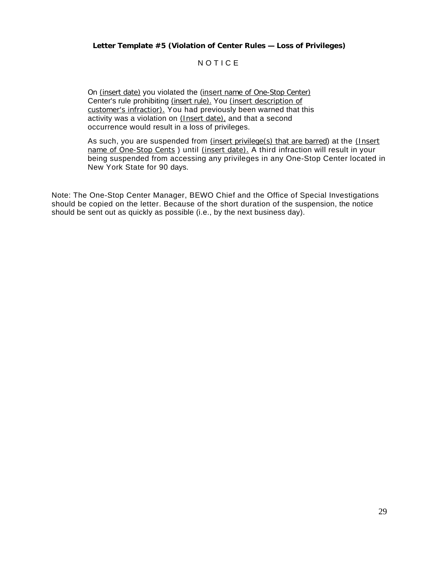# NOTICE

On (insert date) you violated the (insert name of One-Stop Center) Center's rule prohibiting (insert rule). You (insert description of customer's infractior). You had previously been warned that this activity was a violation on (Insert date), and that a second occurrence would result in a loss of privileges.

As such, you are suspended from (insert privilege(s) that are barred) at the (Insert name of One-Stop Cents ) until (insert date). A third infraction will result in your being suspended from accessing any privileges in any One-Stop Center located in New York State for 90 days.

Note: The One-Stop Center Manager, BEWO Chief and the Office of Special Investigations should be copied on the letter. Because of the short duration of the suspension, the notice should be sent out as quickly as possible (i.e., by the next business day).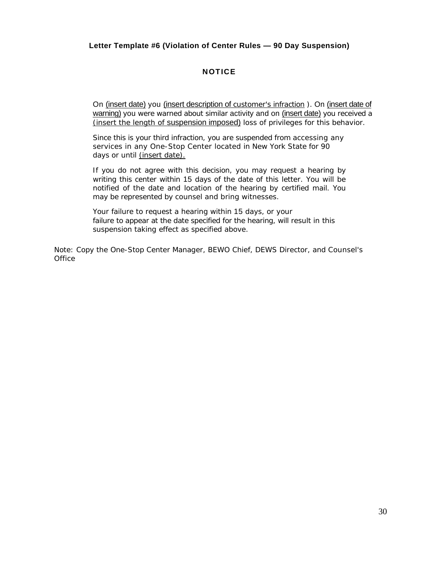# **Letter Template #6 (Violation of Center Rules — 90 Day Suspension)**

# **NOTICE**

On (insert date) you (insert description of customer's infraction). On (insert date of warning) you were warned about similar activity and on (insert date) you received a (insert the length of suspension imposed) loss of privileges for this behavior.

Since this is your third infraction, you are suspended from accessing any services in any One-Stop Center located in New York State for 90 days or until (insert date).

If you do not agree with this decision, you may request a hearing by writing this center within 15 days of the date of this letter. You will be notified of the date and location of the hearing by certified mail. You may be represented by counsel and bring witnesses.

Your failure to request a hearing within 15 days, or your failure to appear at the date specified for the hearing, will result in this suspension taking effect as specified above.

Note: Copy the One-Stop Center Manager, BEWO Chief, DEWS Director, and Counsel's **Office**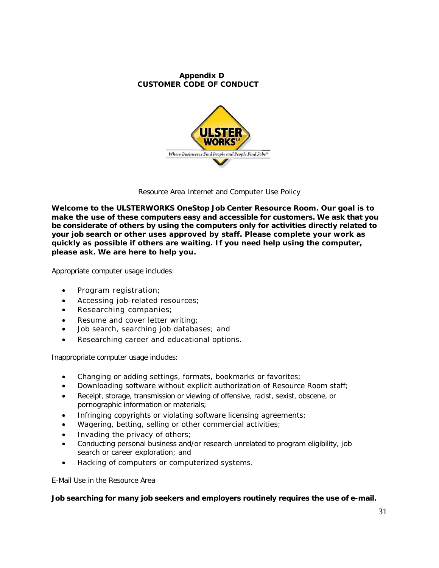#### **Appendix D CUSTOMER CODE OF CONDUCT**



Resource Area Internet and Computer Use Policy

**Welcome to the ULSTERWORKS OneStop Job Center Resource Room. Our goal is to make the use of these computers easy and accessible for customers. We ask that you be considerate of others by using the computers only for activities directly related to your job search or other uses approved by staff. Please complete your work as quickly as possible if others are waiting. If you need help using the computer, please ask. We are here to help you.**

Appropriate computer usage includes:

- Program registration;
- Accessing job-related resources;
- Researching companies;
- Resume and cover letter writing;
- Job search, searching job databases; and
- Researching career and educational options.

Inappropriate computer usage includes:

- Changing or adding settings, formats, bookmarks or favorites;
- Downloading software without explicit authorization of Resource Room staff;
- Receipt, storage, transmission or viewing of offensive, racist, sexist, obscene, or pornographic information or materials;
- Infringing copyrights or violating software licensing agreements;
- Wagering, betting, selling or other commercial activities;
- Invading the privacy of others;
- Conducting personal business and/or research unrelated to program eligibility, job search or career exploration; and
- Hacking of computers or computerized systems.

E-Mail Use in the Resource Area

**Job searching for many job seekers and employers routinely requires the use of e-mail.**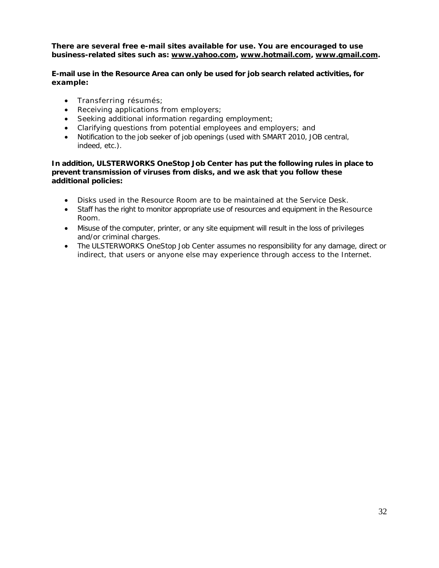**There are several free e-mail sites available for use. You are encouraged to use business-related sites such as: [www.yahoo.com,](http://www.yahoo.com/) [www.hotmail.com,](http://www.hotmail.com/) [www.gmail.com.](http://www.gmail.com/)**

## **E-mail use in the Resource Area can only be used for job search related activities, for example:**

- Transferring résumés;
- Receiving applications from employers;
- Seeking additional information regarding employment;
- Clarifying questions from potential employees and employers; and
- Notification to the job seeker of job openings (used with SMART 2010, JOB central, indeed, etc.).

#### **In addition, ULSTERWORKS OneStop Job Center has put the following rules in place to prevent transmission of viruses from disks, and we ask that you follow these additional policies:**

- Disks used in the Resource Room are to be maintained at the Service Desk.
- Staff has the right to monitor appropriate use of resources and equipment in the Resource Room.
- Misuse of the computer, printer, or any site equipment will result in the loss of privileges and/or criminal charges.
- The ULSTERWORKS OneStop Job Center assumes no responsibility for any damage, direct or indirect, that users or anyone else may experience through access to the Internet.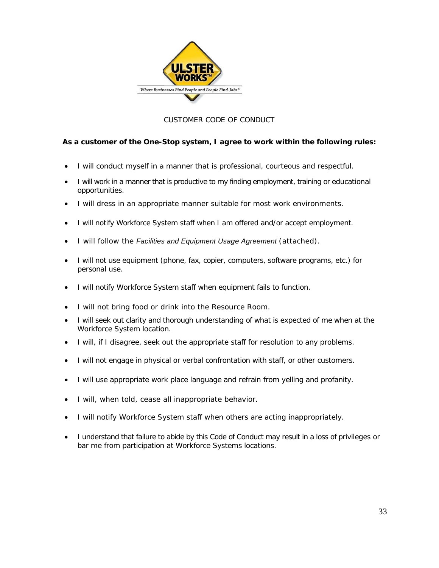

# CUSTOMER CODE OF CONDUCT

# **As a customer of the One-Stop system, I agree to work within the following rules:**

- I will conduct myself in a manner that is professional, courteous and respectful.
- I will work in a manner that is productive to my finding employment, training or educational opportunities.
- I will dress in an appropriate manner suitable for most work environments.
- I will notify Workforce System staff when I am offered and/or accept employment.
- I will follow the *Facilities and Equipment Usage Agreement* (attached).
- I will not use equipment (phone, fax, copier, computers, software programs, etc.) for personal use.
- I will notify Workforce System staff when equipment fails to function.
- I will not bring food or drink into the Resource Room.
- I will seek out clarity and thorough understanding of what is expected of me when at the Workforce System location.
- I will, if I disagree, seek out the appropriate staff for resolution to any problems.
- I will not engage in physical or verbal confrontation with staff, or other customers.
- I will use appropriate work place language and refrain from yelling and profanity.
- I will, when told, cease all inappropriate behavior.
- I will notify Workforce System staff when others are acting inappropriately.
- I understand that failure to abide by this Code of Conduct may result in a loss of privileges or bar me from participation at Workforce Systems locations.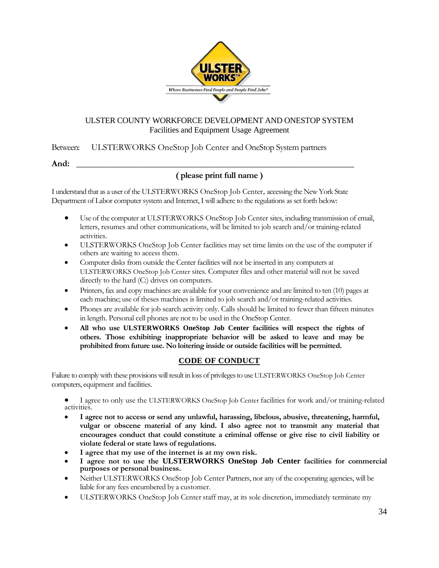

# ULSTER COUNTY WORKFORCE DEVELOPMENT AND ONESTOP SYSTEM Facilities and Equipment Usage Agreement

Between: ULSTERWORKS OneStop Job Center and OneStop System partners

**And: \_\_\_\_\_\_\_\_\_\_\_\_\_\_\_\_\_\_\_\_\_\_\_\_\_\_\_\_\_\_\_\_\_\_\_\_\_\_\_\_\_\_\_\_\_\_\_\_\_\_\_\_\_\_\_\_\_\_\_\_\_\_**

# **( please print full name )**

I understand that as a user of the ULSTERWORKS OneStop Job Center, accessing the New York State Department of Labor computer system and Internet, I will adhere to the regulations as set forth below:

- Use of the computer at ULSTERWORKS OneStop Job Center sites, including transmission of email, letters, resumes and other communications, will be limited to job search and/or training-related activities.
- ULSTERWORKS OneStop Job Center facilities may set time limits on the use of the computer if others are waiting to access them.
- Computer disks from outside the Center facilities will not be inserted in any computers at ULSTERWORKS OneStop Job Center sites. Computer files and other material will not be saved directly to the hard (C:) drives on computers.
- Printers, fax and copy machines are available for your convenience and are limited to ten (10) pages at each machine; use of theses machines is limited to job search and/or training-related activities.
- Phones are available for job search activity only. Calls should be limited to fewer than fifteen minutes in length. Personal cell phones are not to be used in the OneStop Center.
- **All who use ULSTERWORKS OneStop Job Center facilities will respect the rights of others. Those exhibiting inappropriate behavior will be asked to leave and may be prohibited from future use. No loitering inside or outside facilities will be permitted.**

# **CODE OF CONDUCT**

Failure to comply with these provisions will result in loss of privileges to use ULSTERWORKS OneStop Job Center computers, equipment and facilities.

• I agree to only use the ULSTERWORKS OneStop Job Center facilities for work and/or training-related activities.

- **I agree not to access or send any unlawful, harassing, libelous, abusive, threatening, harmful, vulgar or obscene material of any kind. I also agree not to transmit any material that encourages conduct that could constitute a criminal offense or give rise to civil liability or violate federal or state laws of regulations.**
- **I agree that my use of the internet is at my own risk.**
- **I agree not to use the ULSTERWORKS OneStop Job Center facilities for commercial purposes or personal business.**
- Neither ULSTERWORKS OneStop Job Center Partners, nor any of the cooperating agencies, will be liable for any fees encumbered by a customer.
- ULSTERWORKS OneStop Job Center staff may, at its sole discretion, immediately terminate my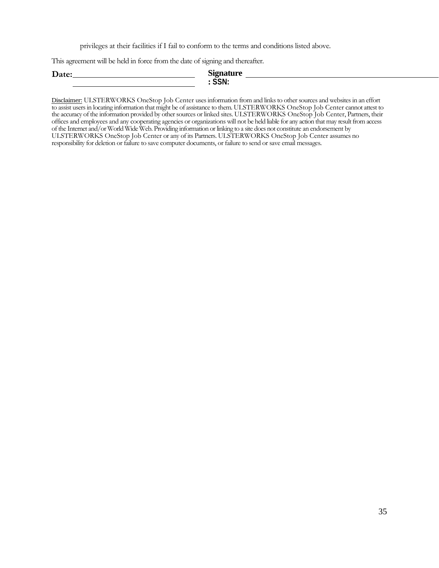privileges at their facilities if I fail to conform to the terms and conditions listed above.

This agreement will be held in force from the date of signing and thereafter.

| $\mathbf{\tau}$<br>Date: | n.<br>ັ້   |  |
|--------------------------|------------|--|
|                          | $- -$<br>w |  |

Disclaimer: ULSTERWORKS OneStop Job Center uses information from and links to other sources and websites in an effort to assist users in locating information that might be of assistance to them. ULSTERWORKS OneStop Job Center cannot attest to the accuracy of the information provided by other sources or linked sites. ULSTERWORKS OneStop Job Center, Partners, their offices and employees and any cooperating agencies or organizations will not be held liable for any action that may result from access of the Internet and/or World Wide Web. Providing information or linking to a site does not constitute an endorsement by ULSTERWORKS OneStop Job Center or any of its Partners. ULSTERWORKS OneStop Job Center assumes no responsibility for deletion or failure to save computer documents, or failure to send or save email messages.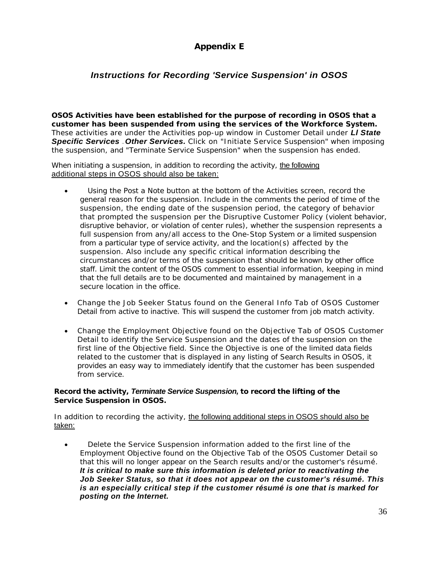# **Appendix E**

# *Instructions for Recording 'Service Suspension' in OSOS*

**OSOS Activities have been established for the purpose of recording in OSOS that a customer has been suspended from using the services of the Workforce System.**  These activities are under the *Activities* pop-up window in Customer Detail under *Ll State Specific Services — Other Services.* Click on "Initiate Service Suspension" when imposing the suspension, and "Terminate Service Suspension" when the suspension has ended.

When initiating a suspension, in addition to recording the activity, the following additional steps in OSOS should also be taken:

- Using the *Post a Note* button at the bottom of the Activities screen, record the general reason for the suspension. Include in the comments the period of time of the suspension, the ending date of the suspension period, the category of behavior that prompted the suspension per the Disruptive Customer Policy (violent behavior, disruptive behavior, or violation of center rules), whether the suspension represents a full suspension from any/all access to the One-Stop System or a limited suspension from a particular type of service activity, and the location(s) affected by the suspension. Also include any specific critical information describing the circumstances and/or terms of the suspension that should be known by other office staff. Limit the content of the OSOS comment to essential information, keeping in mind that the full details are to be documented and maintained by management in a secure location in the office.
- Change the Job Seeker Status found on the General Info Tab of OSOS Customer Detail from active to inactive. This will suspend the customer from job match activity.
- Change the Employment Objective found on the Objective Tab of OSOS Customer Detail to identify the Service Suspension and the dates of the suspension on the first line of the Objective field. Since the Objective is one of the limited data fields related to the customer that is displayed in any listing of Search Results in OSOS, it provides an easy way to immediately identify that the customer has been suspended from service.

## **Record the activity,** *Terminate Service Suspension,* **to record the lifting of the Service Suspension in OSOS.**

In addition to recording the activity, the following additional steps in OSOS should also be taken:

• Delete the Service Suspension information added to the first line of the Employment Objective found on the Objective Tab of the OSOS Customer Detail so that this will no longer appear on the Search results and/or the customer's résumé. *It is critical to make sure this information is deleted prior to reactivating the Job Seeker Status, so that it does not appear on the customer's résumé. This is an especially critical step if the customer résumé is one that is marked for posting on the Internet.*